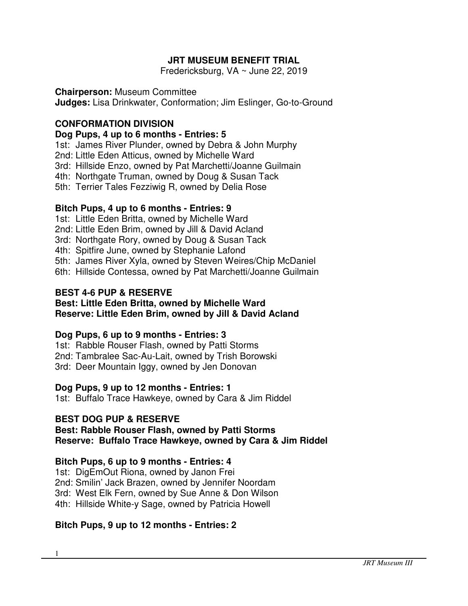# **JRT MUSEUM BENEFIT TRIAL**

Fredericksburg, VA ~ June 22, 2019

### **Chairperson:** Museum Committee

**Judges:** Lisa Drinkwater, Conformation; Jim Eslinger, Go-to-Ground

# **CONFORMATION DIVISION**

### **Dog Pups, 4 up to 6 months - Entries: 5**

1st: James River Plunder, owned by Debra & John Murphy

2nd: Little Eden Atticus, owned by Michelle Ward

3rd: Hillside Enzo, owned by Pat Marchetti/Joanne Guilmain

4th: Northgate Truman, owned by Doug & Susan Tack

5th: Terrier Tales Fezziwig R, owned by Delia Rose

# **Bitch Pups, 4 up to 6 months - Entries: 9**

1st: Little Eden Britta, owned by Michelle Ward

2nd: Little Eden Brim, owned by Jill & David Acland

3rd: Northgate Rory, owned by Doug & Susan Tack

4th: Spitfire June, owned by Stephanie Lafond

5th: James River Xyla, owned by Steven Weires/Chip McDaniel

6th: Hillside Contessa, owned by Pat Marchetti/Joanne Guilmain

### **BEST 4-6 PUP & RESERVE**

#### **Best: Little Eden Britta, owned by Michelle Ward Reserve: Little Eden Brim, owned by Jill & David Acland**

# **Dog Pups, 6 up to 9 months - Entries: 3**

1st: Rabble Rouser Flash, owned by Patti Storms

2nd: Tambralee Sac-Au-Lait, owned by Trish Borowski

3rd: Deer Mountain Iggy, owned by Jen Donovan

# **Dog Pups, 9 up to 12 months - Entries: 1**

1st: Buffalo Trace Hawkeye, owned by Cara & Jim Riddel

# **BEST DOG PUP & RESERVE**

**Best: Rabble Rouser Flash, owned by Patti Storms Reserve: Buffalo Trace Hawkeye, owned by Cara & Jim Riddel** 

# **Bitch Pups, 6 up to 9 months - Entries: 4**

1st: DigEmOut Riona, owned by Janon Frei

2nd: Smilin' Jack Brazen, owned by Jennifer Noordam

3rd: West Elk Fern, owned by Sue Anne & Don Wilson

4th: Hillside White-y Sage, owned by Patricia Howell

# **Bitch Pups, 9 up to 12 months - Entries: 2**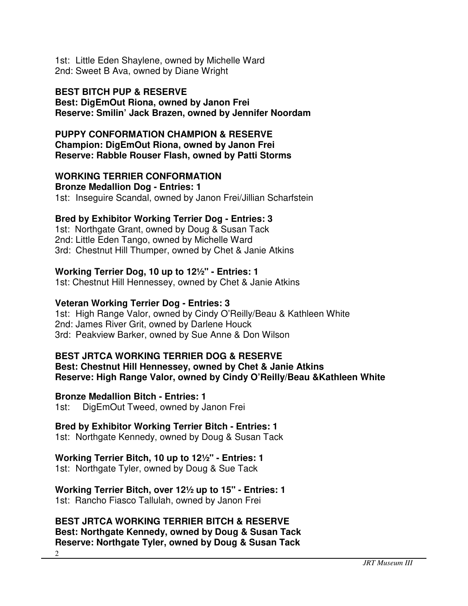1st: Little Eden Shaylene, owned by Michelle Ward 2nd: Sweet B Ava, owned by Diane Wright

#### **BEST BITCH PUP & RESERVE Best: DigEmOut Riona, owned by Janon Frei Reserve: Smilin' Jack Brazen, owned by Jennifer Noordam**

**PUPPY CONFORMATION CHAMPION & RESERVE Champion: DigEmOut Riona, owned by Janon Frei Reserve: Rabble Rouser Flash, owned by Patti Storms**

### **WORKING TERRIER CONFORMATION**

**Bronze Medallion Dog - Entries: 1** 1st: Inseguire Scandal, owned by Janon Frei/Jillian Scharfstein

#### **Bred by Exhibitor Working Terrier Dog - Entries: 3**

1st: Northgate Grant, owned by Doug & Susan Tack 2nd: Little Eden Tango, owned by Michelle Ward 3rd: Chestnut Hill Thumper, owned by Chet & Janie Atkins

#### **Working Terrier Dog, 10 up to 12½" - Entries: 1**

1st: Chestnut Hill Hennessey, owned by Chet & Janie Atkins

#### **Veteran Working Terrier Dog - Entries: 3**

1st: High Range Valor, owned by Cindy O'Reilly/Beau & Kathleen White 2nd: James River Grit, owned by Darlene Houck 3rd: Peakview Barker, owned by Sue Anne & Don Wilson

#### **BEST JRTCA WORKING TERRIER DOG & RESERVE**

**Best: Chestnut Hill Hennessey, owned by Chet & Janie Atkins Reserve: High Range Valor, owned by Cindy O'Reilly/Beau &Kathleen White** 

**Bronze Medallion Bitch - Entries: 1**

1st: DigEmOut Tweed, owned by Janon Frei

### **Bred by Exhibitor Working Terrier Bitch - Entries: 1**

1st: Northgate Kennedy, owned by Doug & Susan Tack

### **Working Terrier Bitch, 10 up to 12½" - Entries: 1**

1st: Northgate Tyler, owned by Doug & Sue Tack

#### **Working Terrier Bitch, over 12½ up to 15" - Entries: 1** 1st: Rancho Fiasco Tallulah, owned by Janon Frei

## **BEST JRTCA WORKING TERRIER BITCH & RESERVE Best: Northgate Kennedy, owned by Doug & Susan Tack Reserve: Northgate Tyler, owned by Doug & Susan Tack**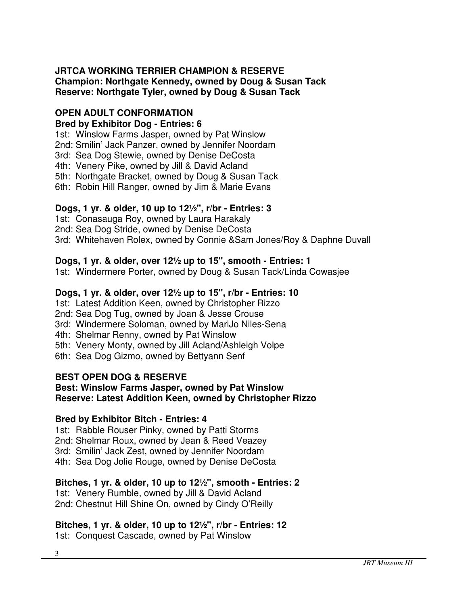### **JRTCA WORKING TERRIER CHAMPION & RESERVE Champion: Northgate Kennedy, owned by Doug & Susan Tack Reserve: Northgate Tyler, owned by Doug & Susan Tack**

#### **OPEN ADULT CONFORMATION Bred by Exhibitor Dog - Entries: 6**

1st: Winslow Farms Jasper, owned by Pat Winslow

2nd: Smilin' Jack Panzer, owned by Jennifer Noordam

3rd: Sea Dog Stewie, owned by Denise DeCosta

4th: Venery Pike, owned by Jill & David Acland

5th: Northgate Bracket, owned by Doug & Susan Tack

6th: Robin Hill Ranger, owned by Jim & Marie Evans

# **Dogs, 1 yr. & older, 10 up to 12½", r/br - Entries: 3**

1st: Conasauga Roy, owned by Laura Harakaly

2nd: Sea Dog Stride, owned by Denise DeCosta

3rd: Whitehaven Rolex, owned by Connie &Sam Jones/Roy & Daphne Duvall

# **Dogs, 1 yr. & older, over 12½ up to 15", smooth - Entries: 1**

1st: Windermere Porter, owned by Doug & Susan Tack/Linda Cowasjee

# **Dogs, 1 yr. & older, over 12½ up to 15", r/br - Entries: 10**

1st: Latest Addition Keen, owned by Christopher Rizzo

2nd: Sea Dog Tug, owned by Joan & Jesse Crouse

3rd: Windermere Soloman, owned by MariJo Niles-Sena

4th: Shelmar Renny, owned by Pat Winslow

5th: Venery Monty, owned by Jill Acland/Ashleigh Volpe

6th: Sea Dog Gizmo, owned by Bettyann Senf

# **BEST OPEN DOG & RESERVE**

#### **Best: Winslow Farms Jasper, owned by Pat Winslow Reserve: Latest Addition Keen, owned by Christopher Rizzo**

# **Bred by Exhibitor Bitch - Entries: 4**

1st: Rabble Rouser Pinky, owned by Patti Storms

2nd: Shelmar Roux, owned by Jean & Reed Veazey

3rd: Smilin' Jack Zest, owned by Jennifer Noordam

4th: Sea Dog Jolie Rouge, owned by Denise DeCosta

# **Bitches, 1 yr. & older, 10 up to 12½", smooth - Entries: 2**

1st: Venery Rumble, owned by Jill & David Acland 2nd: Chestnut Hill Shine On, owned by Cindy O'Reilly

# **Bitches, 1 yr. & older, 10 up to 12½", r/br - Entries: 12**

1st: Conquest Cascade, owned by Pat Winslow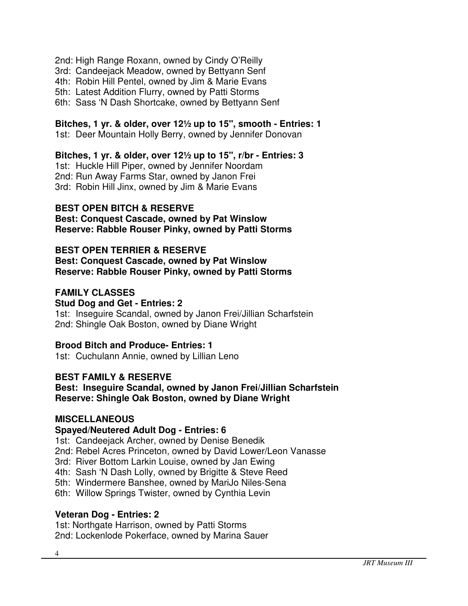- 2nd: High Range Roxann, owned by Cindy O'Reilly
- 3rd: Candeejack Meadow, owned by Bettyann Senf
- 4th: Robin Hill Pentel, owned by Jim & Marie Evans
- 5th: Latest Addition Flurry, owned by Patti Storms
- 6th: Sass 'N Dash Shortcake, owned by Bettyann Senf

#### **Bitches, 1 yr. & older, over 12½ up to 15", smooth - Entries: 1**

1st: Deer Mountain Holly Berry, owned by Jennifer Donovan

#### **Bitches, 1 yr. & older, over 12½ up to 15", r/br - Entries: 3**

1st: Huckle Hill Piper, owned by Jennifer Noordam 2nd: Run Away Farms Star, owned by Janon Frei 3rd: Robin Hill Jinx, owned by Jim & Marie Evans

### **BEST OPEN BITCH & RESERVE**

**Best: Conquest Cascade, owned by Pat Winslow Reserve: Rabble Rouser Pinky, owned by Patti Storms**

### **BEST OPEN TERRIER & RESERVE**

**Best: Conquest Cascade, owned by Pat Winslow Reserve: Rabble Rouser Pinky, owned by Patti Storms**

### **FAMILY CLASSES**

#### **Stud Dog and Get - Entries: 2**

1st: Inseguire Scandal, owned by Janon Frei/Jillian Scharfstein 2nd: Shingle Oak Boston, owned by Diane Wright

#### **Brood Bitch and Produce- Entries: 1**

1st: Cuchulann Annie, owned by Lillian Leno

#### **BEST FAMILY & RESERVE**

**Best: Inseguire Scandal, owned by Janon Frei/Jillian Scharfstein Reserve: Shingle Oak Boston, owned by Diane Wright** 

#### **MISCELLANEOUS**

#### **Spayed/Neutered Adult Dog - Entries: 6**

1st: Candeejack Archer, owned by Denise Benedik

- 2nd: Rebel Acres Princeton, owned by David Lower/Leon Vanasse
- 3rd: River Bottom Larkin Louise, owned by Jan Ewing
- 4th: Sash 'N Dash Lolly, owned by Brigitte & Steve Reed
- 5th: Windermere Banshee, owned by MariJo Niles-Sena
- 6th: Willow Springs Twister, owned by Cynthia Levin

### **Veteran Dog - Entries: 2**

1st: Northgate Harrison, owned by Patti Storms 2nd: Lockenlode Pokerface, owned by Marina Sauer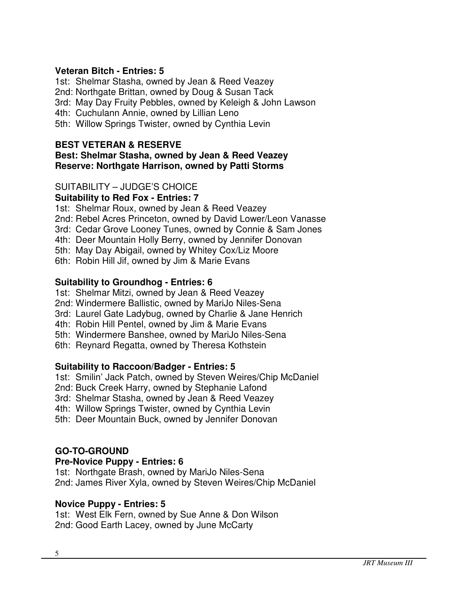### **Veteran Bitch - Entries: 5**

1st: Shelmar Stasha, owned by Jean & Reed Veazey

2nd: Northgate Brittan, owned by Doug & Susan Tack

3rd: May Day Fruity Pebbles, owned by Keleigh & John Lawson

4th: Cuchulann Annie, owned by Lillian Leno

5th: Willow Springs Twister, owned by Cynthia Levin

## **BEST VETERAN & RESERVE**

### **Best: Shelmar Stasha, owned by Jean & Reed Veazey Reserve: Northgate Harrison, owned by Patti Storms**

# SUITABILITY – JUDGE'S CHOICE

**Suitability to Red Fox - Entries: 7**

1st: Shelmar Roux, owned by Jean & Reed Veazey

- 2nd: Rebel Acres Princeton, owned by David Lower/Leon Vanasse
- 3rd: Cedar Grove Looney Tunes, owned by Connie & Sam Jones
- 4th: Deer Mountain Holly Berry, owned by Jennifer Donovan
- 5th: May Day Abigail, owned by Whitey Cox/Liz Moore
- 6th: Robin Hill Jif, owned by Jim & Marie Evans

# **Suitability to Groundhog - Entries: 6**

- 1st: Shelmar Mitzi, owned by Jean & Reed Veazey
- 2nd: Windermere Ballistic, owned by MariJo Niles-Sena
- 3rd: Laurel Gate Ladybug, owned by Charlie & Jane Henrich
- 4th: Robin Hill Pentel, owned by Jim & Marie Evans
- 5th: Windermere Banshee, owned by MariJo Niles-Sena
- 6th: Reynard Regatta, owned by Theresa Kothstein

# **Suitability to Raccoon/Badger - Entries: 5**

- 1st: Smilin' Jack Patch, owned by Steven Weires/Chip McDaniel
- 2nd: Buck Creek Harry, owned by Stephanie Lafond
- 3rd: Shelmar Stasha, owned by Jean & Reed Veazey
- 4th: Willow Springs Twister, owned by Cynthia Levin
- 5th: Deer Mountain Buck, owned by Jennifer Donovan

# **GO-TO-GROUND**

# **Pre-Novice Puppy - Entries: 6**

1st: Northgate Brash, owned by MariJo Niles-Sena 2nd: James River Xyla, owned by Steven Weires/Chip McDaniel

# **Novice Puppy - Entries: 5**

1st: West Elk Fern, owned by Sue Anne & Don Wilson 2nd: Good Earth Lacey, owned by June McCarty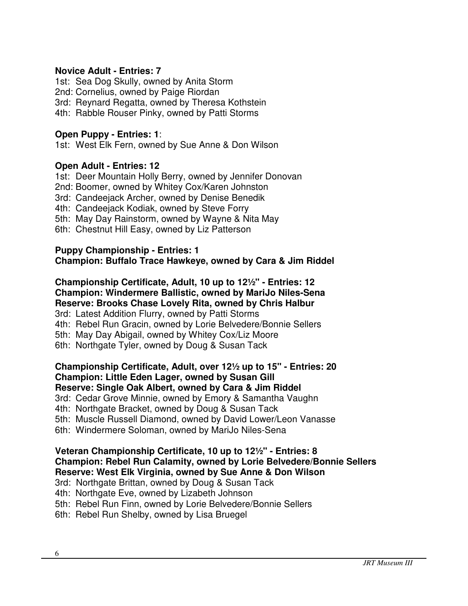### **Novice Adult - Entries: 7**

1st: Sea Dog Skully, owned by Anita Storm 2nd: Cornelius, owned by Paige Riordan 3rd: Reynard Regatta, owned by Theresa Kothstein 4th: Rabble Rouser Pinky, owned by Patti Storms

### **Open Puppy - Entries: 1**:

1st: West Elk Fern, owned by Sue Anne & Don Wilson

### **Open Adult - Entries: 12**

1st: Deer Mountain Holly Berry, owned by Jennifer Donovan 2nd: Boomer, owned by Whitey Cox/Karen Johnston

3rd: Candeejack Archer, owned by Denise Benedik

4th: Candeejack Kodiak, owned by Steve Forry

5th: May Day Rainstorm, owned by Wayne & Nita May

6th: Chestnut Hill Easy, owned by Liz Patterson

#### **Puppy Championship - Entries: 1 Champion: Buffalo Trace Hawkeye, owned by Cara & Jim Riddel**

# **Championship Certificate, Adult, 10 up to 12½" - Entries: 12 Champion: Windermere Ballistic, owned by MariJo Niles-Sena Reserve: Brooks Chase Lovely Rita, owned by Chris Halbur**

3rd: Latest Addition Flurry, owned by Patti Storms

4th: Rebel Run Gracin, owned by Lorie Belvedere/Bonnie Sellers

5th: May Day Abigail, owned by Whitey Cox/Liz Moore

6th: Northgate Tyler, owned by Doug & Susan Tack

#### **Championship Certificate, Adult, over 12½ up to 15" - Entries: 20 Champion: Little Eden Lager, owned by Susan Gill Reserve: Single Oak Albert, owned by Cara & Jim Riddel**

3rd: Cedar Grove Minnie, owned by Emory & Samantha Vaughn

4th: Northgate Bracket, owned by Doug & Susan Tack

5th: Muscle Russell Diamond, owned by David Lower/Leon Vanasse

6th: Windermere Soloman, owned by MariJo Niles-Sena

#### **Veteran Championship Certificate, 10 up to 12½" - Entries: 8 Champion: Rebel Run Calamity, owned by Lorie Belvedere/Bonnie Sellers Reserve: West Elk Virginia, owned by Sue Anne & Don Wilson**

3rd: Northgate Brittan, owned by Doug & Susan Tack

4th: Northgate Eve, owned by Lizabeth Johnson

5th: Rebel Run Finn, owned by Lorie Belvedere/Bonnie Sellers

6th: Rebel Run Shelby, owned by Lisa Bruegel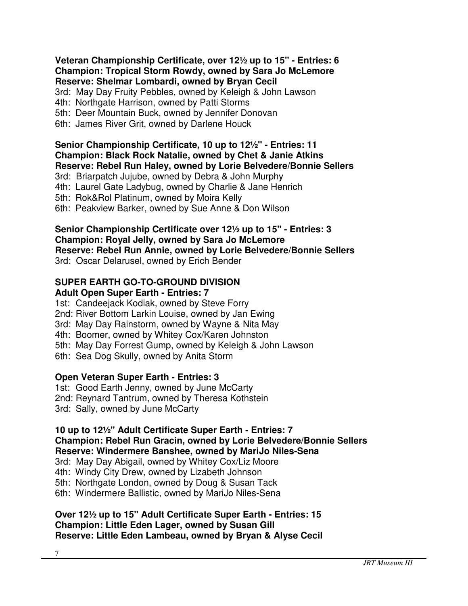#### **Veteran Championship Certificate, over 12½ up to 15" - Entries: 6 Champion: Tropical Storm Rowdy, owned by Sara Jo McLemore Reserve: Shelmar Lombardi, owned by Bryan Cecil**

3rd: May Day Fruity Pebbles, owned by Keleigh & John Lawson

4th: Northgate Harrison, owned by Patti Storms

- 5th: Deer Mountain Buck, owned by Jennifer Donovan
- 6th: James River Grit, owned by Darlene Houck

# **Senior Championship Certificate, 10 up to 12½" - Entries: 11 Champion: Black Rock Natalie, owned by Chet & Janie Atkins Reserve: Rebel Run Haley, owned by Lorie Belvedere/Bonnie Sellers**

3rd: Briarpatch Jujube, owned by Debra & John Murphy

4th: Laurel Gate Ladybug, owned by Charlie & Jane Henrich

5th: Rok&Rol Platinum, owned by Moira Kelly

6th: Peakview Barker, owned by Sue Anne & Don Wilson

#### **Senior Championship Certificate over 12½ up to 15" - Entries: 3 Champion: Royal Jelly, owned by Sara Jo McLemore Reserve: Rebel Run Annie, owned by Lorie Belvedere/Bonnie Sellers**  3rd: Oscar Delarusel, owned by Erich Bender

# **SUPER EARTH GO-TO-GROUND DIVISION**

# **Adult Open Super Earth - Entries: 7**

1st: Candeejack Kodiak, owned by Steve Forry

- 2nd: River Bottom Larkin Louise, owned by Jan Ewing
- 3rd: May Day Rainstorm, owned by Wayne & Nita May
- 4th: Boomer, owned by Whitey Cox/Karen Johnston
- 5th: May Day Forrest Gump, owned by Keleigh & John Lawson
- 6th: Sea Dog Skully, owned by Anita Storm

# **Open Veteran Super Earth - Entries: 3**

1st: Good Earth Jenny, owned by June McCarty

- 2nd: Reynard Tantrum, owned by Theresa Kothstein
- 3rd: Sally, owned by June McCarty

#### **10 up to 12½" Adult Certificate Super Earth - Entries: 7 Champion: Rebel Run Gracin, owned by Lorie Belvedere/Bonnie Sellers Reserve: Windermere Banshee, owned by MariJo Niles-Sena**

3rd: May Day Abigail, owned by Whitey Cox/Liz Moore

4th: Windy City Drew, owned by Lizabeth Johnson

5th: Northgate London, owned by Doug & Susan Tack

6th: Windermere Ballistic, owned by MariJo Niles-Sena

### **Over 12½ up to 15" Adult Certificate Super Earth - Entries: 15 Champion: Little Eden Lager, owned by Susan Gill Reserve: Little Eden Lambeau, owned by Bryan & Alyse Cecil**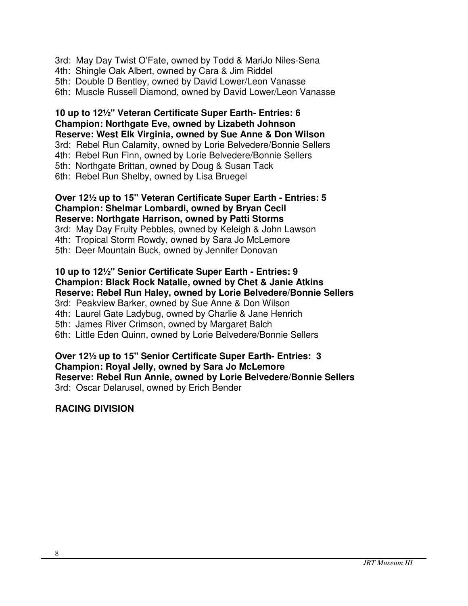3rd: May Day Twist O'Fate, owned by Todd & MariJo Niles-Sena

4th: Shingle Oak Albert, owned by Cara & Jim Riddel

5th: Double D Bentley, owned by David Lower/Leon Vanasse

6th: Muscle Russell Diamond, owned by David Lower/Leon Vanasse

**10 up to 12½" Veteran Certificate Super Earth- Entries: 6 Champion: Northgate Eve, owned by Lizabeth Johnson Reserve: West Elk Virginia, owned by Sue Anne & Don Wilson**  3rd: Rebel Run Calamity, owned by Lorie Belvedere/Bonnie Sellers 4th: Rebel Run Finn, owned by Lorie Belvedere/Bonnie Sellers 5th: Northgate Brittan, owned by Doug & Susan Tack 6th: Rebel Run Shelby, owned by Lisa Bruegel

#### **Over 12½ up to 15" Veteran Certificate Super Earth - Entries: 5 Champion: Shelmar Lombardi, owned by Bryan Cecil Reserve: Northgate Harrison, owned by Patti Storms**  3rd: May Day Fruity Pebbles, owned by Keleigh & John Lawson 4th: Tropical Storm Rowdy, owned by Sara Jo McLemore

5th: Deer Mountain Buck, owned by Jennifer Donovan

# **10 up to 12½" Senior Certificate Super Earth - Entries: 9 Champion: Black Rock Natalie, owned by Chet & Janie Atkins Reserve: Rebel Run Haley, owned by Lorie Belvedere/Bonnie Sellers**

3rd: Peakview Barker, owned by Sue Anne & Don Wilson 4th: Laurel Gate Ladybug, owned by Charlie & Jane Henrich 5th: James River Crimson, owned by Margaret Balch 6th: Little Eden Quinn, owned by Lorie Belvedere/Bonnie Sellers

### **Over 12½ up to 15" Senior Certificate Super Earth- Entries: 3 Champion: Royal Jelly, owned by Sara Jo McLemore Reserve: Rebel Run Annie, owned by Lorie Belvedere/Bonnie Sellers**  3rd: Oscar Delarusel, owned by Erich Bender

# **RACING DIVISION**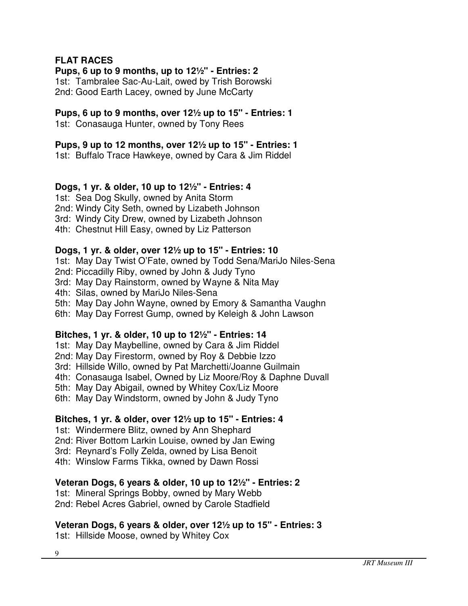### **FLAT RACES**

### **Pups, 6 up to 9 months, up to 12½" - Entries: 2**

1st: Tambralee Sac-Au-Lait, owed by Trish Borowski 2nd: Good Earth Lacey, owned by June McCarty

## **Pups, 6 up to 9 months, over 12½ up to 15" - Entries: 1**

1st: Conasauga Hunter, owned by Tony Rees

### **Pups, 9 up to 12 months, over 12½ up to 15" - Entries: 1**

1st: Buffalo Trace Hawkeye, owned by Cara & Jim Riddel

### **Dogs, 1 yr. & older, 10 up to 12½" - Entries: 4**

1st: Sea Dog Skully, owned by Anita Storm

2nd: Windy City Seth, owned by Lizabeth Johnson

3rd: Windy City Drew, owned by Lizabeth Johnson

4th: Chestnut Hill Easy, owned by Liz Patterson

### **Dogs, 1 yr. & older, over 12½ up to 15" - Entries: 10**

1st: May Day Twist O'Fate, owned by Todd Sena/MariJo Niles-Sena

2nd: Piccadilly Riby, owned by John & Judy Tyno

3rd: May Day Rainstorm, owned by Wayne & Nita May

4th: Silas, owned by MariJo Niles-Sena

5th: May Day John Wayne, owned by Emory & Samantha Vaughn

6th: May Day Forrest Gump, owned by Keleigh & John Lawson

### **Bitches, 1 yr. & older, 10 up to 12½" - Entries: 14**

1st: May Day Maybelline, owned by Cara & Jim Riddel

2nd: May Day Firestorm, owned by Roy & Debbie Izzo

3rd: Hillside Willo, owned by Pat Marchetti/Joanne Guilmain

4th: Conasauga Isabel, Owned by Liz Moore/Roy & Daphne Duvall

5th: May Day Abigail, owned by Whitey Cox/Liz Moore

6th: May Day Windstorm, owned by John & Judy Tyno

# **Bitches, 1 yr. & older, over 12½ up to 15" - Entries: 4**

1st: Windermere Blitz, owned by Ann Shephard

2nd: River Bottom Larkin Louise, owned by Jan Ewing

3rd: Reynard's Folly Zelda, owned by Lisa Benoit

4th: Winslow Farms Tikka, owned by Dawn Rossi

# **Veteran Dogs, 6 years & older, 10 up to 12½" - Entries: 2**

1st: Mineral Springs Bobby, owned by Mary Webb

2nd: Rebel Acres Gabriel, owned by Carole Stadfield

# **Veteran Dogs, 6 years & older, over 12½ up to 15" - Entries: 3**

1st: Hillside Moose, owned by Whitey Cox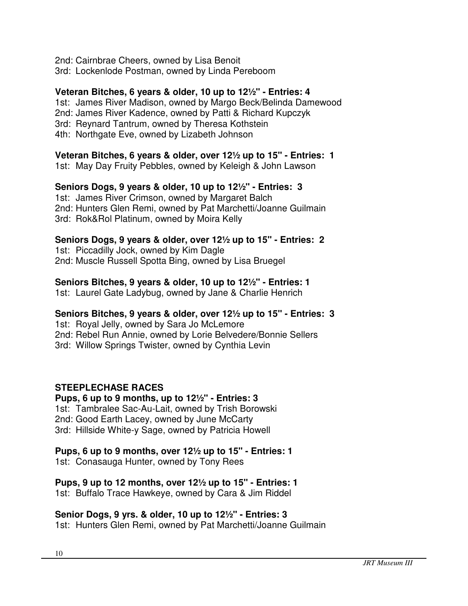2nd: Cairnbrae Cheers, owned by Lisa Benoit 3rd: Lockenlode Postman, owned by Linda Pereboom

### **Veteran Bitches, 6 years & older, 10 up to 12½" - Entries: 4**

1st: James River Madison, owned by Margo Beck/Belinda Damewood 2nd: James River Kadence, owned by Patti & Richard Kupczyk 3rd: Reynard Tantrum, owned by Theresa Kothstein

4th: Northgate Eve, owned by Lizabeth Johnson

### **Veteran Bitches, 6 years & older, over 12½ up to 15" - Entries: 1**

1st: May Day Fruity Pebbles, owned by Keleigh & John Lawson

### **Seniors Dogs, 9 years & older, 10 up to 12½" - Entries: 3**

1st: James River Crimson, owned by Margaret Balch 2nd: Hunters Glen Remi, owned by Pat Marchetti/Joanne Guilmain 3rd: Rok&Rol Platinum, owned by Moira Kelly

### **Seniors Dogs, 9 years & older, over 12½ up to 15" - Entries: 2**

1st: Piccadilly Jock, owned by Kim Dagle 2nd: Muscle Russell Spotta Bing, owned by Lisa Bruegel

### **Seniors Bitches, 9 years & older, 10 up to 12½" - Entries: 1**

1st: Laurel Gate Ladybug, owned by Jane & Charlie Henrich

# **Seniors Bitches, 9 years & older, over 12½ up to 15" - Entries: 3**

1st: Royal Jelly, owned by Sara Jo McLemore 2nd: Rebel Run Annie, owned by Lorie Belvedere/Bonnie Sellers 3rd: Willow Springs Twister, owned by Cynthia Levin

# **STEEPLECHASE RACES**

**Pups, 6 up to 9 months, up to 12½" - Entries: 3** 1st: Tambralee Sac-Au-Lait, owned by Trish Borowski 2nd: Good Earth Lacey, owned by June McCarty 3rd: Hillside White-y Sage, owned by Patricia Howell

# **Pups, 6 up to 9 months, over 12½ up to 15" - Entries: 1**

1st: Conasauga Hunter, owned by Tony Rees

# **Pups, 9 up to 12 months, over 12½ up to 15" - Entries: 1**

1st: Buffalo Trace Hawkeye, owned by Cara & Jim Riddel

# **Senior Dogs, 9 yrs. & older, 10 up to 12½" - Entries: 3**

1st: Hunters Glen Remi, owned by Pat Marchetti/Joanne Guilmain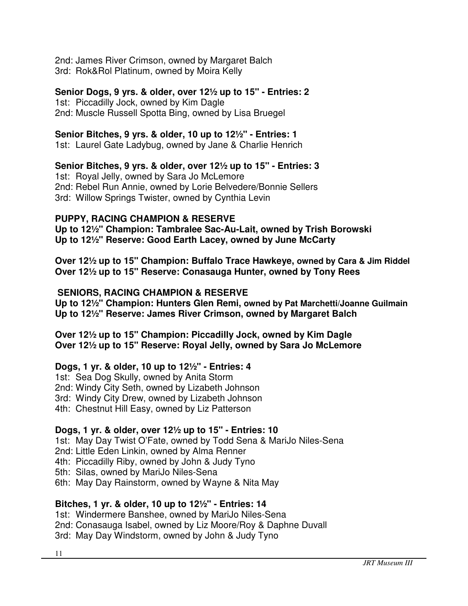2nd: James River Crimson, owned by Margaret Balch 3rd: Rok&Rol Platinum, owned by Moira Kelly

### **Senior Dogs, 9 yrs. & older, over 12½ up to 15" - Entries: 2**

1st: Piccadilly Jock, owned by Kim Dagle 2nd: Muscle Russell Spotta Bing, owned by Lisa Bruegel

### **Senior Bitches, 9 yrs. & older, 10 up to 12½" - Entries: 1**

1st: Laurel Gate Ladybug, owned by Jane & Charlie Henrich

### **Senior Bitches, 9 yrs. & older, over 12½ up to 15" - Entries: 3**

1st: Royal Jelly, owned by Sara Jo McLemore 2nd: Rebel Run Annie, owned by Lorie Belvedere/Bonnie Sellers 3rd: Willow Springs Twister, owned by Cynthia Levin

### **PUPPY, RACING CHAMPION & RESERVE**

**Up to 12½" Champion: Tambralee Sac-Au-Lait, owned by Trish Borowski Up to 12½" Reserve: Good Earth Lacey, owned by June McCarty** 

**Over 12½ up to 15" Champion: Buffalo Trace Hawkeye, owned by Cara & Jim Riddel Over 12½ up to 15" Reserve: Conasauga Hunter, owned by Tony Rees** 

### **SENIORS, RACING CHAMPION & RESERVE**

**Up to 12½" Champion: Hunters Glen Remi, owned by Pat Marchetti/Joanne Guilmain Up to 12½" Reserve: James River Crimson, owned by Margaret Balch** 

**Over 12½ up to 15" Champion: Piccadilly Jock, owned by Kim Dagle Over 12½ up to 15" Reserve: Royal Jelly, owned by Sara Jo McLemore** 

# **Dogs, 1 yr. & older, 10 up to 12½" - Entries: 4**

1st: Sea Dog Skully, owned by Anita Storm

2nd: Windy City Seth, owned by Lizabeth Johnson

3rd: Windy City Drew, owned by Lizabeth Johnson

4th: Chestnut Hill Easy, owned by Liz Patterson

### **Dogs, 1 yr. & older, over 12½ up to 15" - Entries: 10**

1st: May Day Twist O'Fate, owned by Todd Sena & MariJo Niles-Sena

2nd: Little Eden Linkin, owned by Alma Renner

4th: Piccadilly Riby, owned by John & Judy Tyno

5th: Silas, owned by MariJo Niles-Sena

6th: May Day Rainstorm, owned by Wayne & Nita May

# **Bitches, 1 yr. & older, 10 up to 12½" - Entries: 14**

1st: Windermere Banshee, owned by MariJo Niles-Sena 2nd: Conasauga Isabel, owned by Liz Moore/Roy & Daphne Duvall 3rd: May Day Windstorm, owned by John & Judy Tyno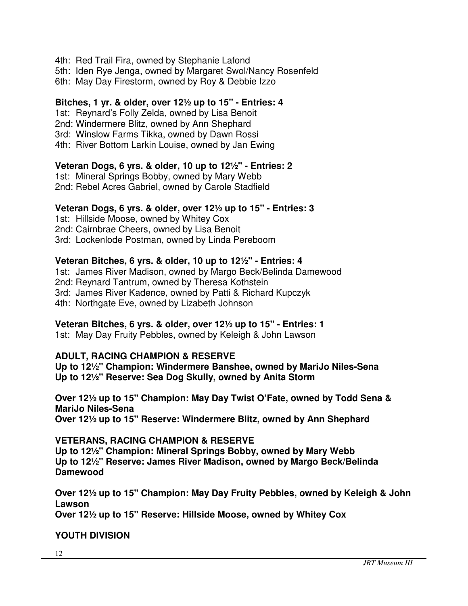4th: Red Trail Fira, owned by Stephanie Lafond

5th: Iden Rye Jenga, owned by Margaret Swol/Nancy Rosenfeld

6th: May Day Firestorm, owned by Roy & Debbie Izzo

### **Bitches, 1 yr. & older, over 12½ up to 15" - Entries: 4**

1st: Reynard's Folly Zelda, owned by Lisa Benoit

2nd: Windermere Blitz, owned by Ann Shephard

3rd: Winslow Farms Tikka, owned by Dawn Rossi

4th: River Bottom Larkin Louise, owned by Jan Ewing

### **Veteran Dogs, 6 yrs. & older, 10 up to 12½" - Entries: 2**

1st: Mineral Springs Bobby, owned by Mary Webb 2nd: Rebel Acres Gabriel, owned by Carole Stadfield

#### **Veteran Dogs, 6 yrs. & older, over 12½ up to 15" - Entries: 3**

1st: Hillside Moose, owned by Whitey Cox 2nd: Cairnbrae Cheers, owned by Lisa Benoit

3rd: Lockenlode Postman, owned by Linda Pereboom

### **Veteran Bitches, 6 yrs. & older, 10 up to 12½" - Entries: 4**

1st: James River Madison, owned by Margo Beck/Belinda Damewood 2nd: Reynard Tantrum, owned by Theresa Kothstein 3rd: James River Kadence, owned by Patti & Richard Kupczyk 4th: Northgate Eve, owned by Lizabeth Johnson

### **Veteran Bitches, 6 yrs. & older, over 12½ up to 15" - Entries: 1**

1st: May Day Fruity Pebbles, owned by Keleigh & John Lawson

### **ADULT, RACING CHAMPION & RESERVE**

**Up to 12½" Champion: Windermere Banshee, owned by MariJo Niles-Sena Up to 12½" Reserve: Sea Dog Skully, owned by Anita Storm** 

# **Over 12½ up to 15" Champion: May Day Twist O'Fate, owned by Todd Sena & MariJo Niles-Sena**

**Over 12½ up to 15" Reserve: Windermere Blitz, owned by Ann Shephard** 

### **VETERANS, RACING CHAMPION & RESERVE**

**Up to 12½" Champion: Mineral Springs Bobby, owned by Mary Webb Up to 12½" Reserve: James River Madison, owned by Margo Beck/Belinda Damewood** 

**Over 12½ up to 15" Champion: May Day Fruity Pebbles, owned by Keleigh & John Lawson** 

**Over 12½ up to 15" Reserve: Hillside Moose, owned by Whitey Cox** 

# **YOUTH DIVISION**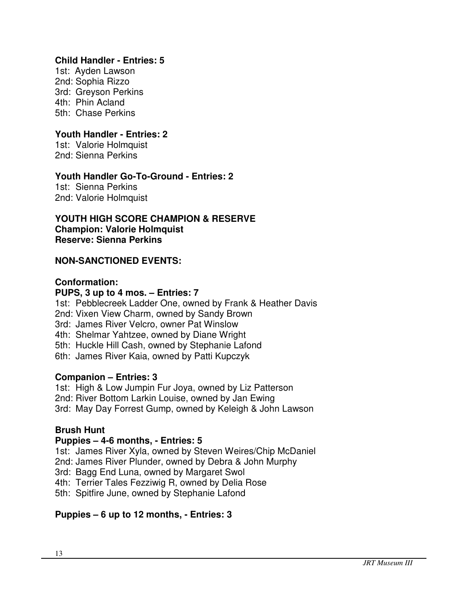### **Child Handler - Entries: 5**

1st: Ayden Lawson 2nd: Sophia Rizzo 3rd: Greyson Perkins 4th: Phin Acland 5th: Chase Perkins

## **Youth Handler - Entries: 2**

1st: Valorie Holmquist 2nd: Sienna Perkins

### **Youth Handler Go-To-Ground - Entries: 2**

1st: Sienna Perkins 2nd: Valorie Holmquist

**YOUTH HIGH SCORE CHAMPION & RESERVE Champion: Valorie Holmquist Reserve: Sienna Perkins** 

### **NON-SANCTIONED EVENTS:**

#### **Conformation:**

### **PUPS, 3 up to 4 mos. – Entries: 7**

1st: Pebblecreek Ladder One, owned by Frank & Heather Davis 2nd: Vixen View Charm, owned by Sandy Brown

3rd: James River Velcro, owner Pat Winslow

4th: Shelmar Yahtzee, owned by Diane Wright

5th: Huckle Hill Cash, owned by Stephanie Lafond

6th: James River Kaia, owned by Patti Kupczyk

### **Companion – Entries: 3**

1st: High & Low Jumpin Fur Joya, owned by Liz Patterson 2nd: River Bottom Larkin Louise, owned by Jan Ewing 3rd: May Day Forrest Gump, owned by Keleigh & John Lawson

### **Brush Hunt**

### **Puppies – 4-6 months, - Entries: 5**

1st: James River Xyla, owned by Steven Weires/Chip McDaniel

2nd: James River Plunder, owned by Debra & John Murphy

3rd: Bagg End Luna, owned by Margaret Swol

4th: Terrier Tales Fezziwig R, owned by Delia Rose

5th: Spitfire June, owned by Stephanie Lafond

### **Puppies – 6 up to 12 months, - Entries: 3**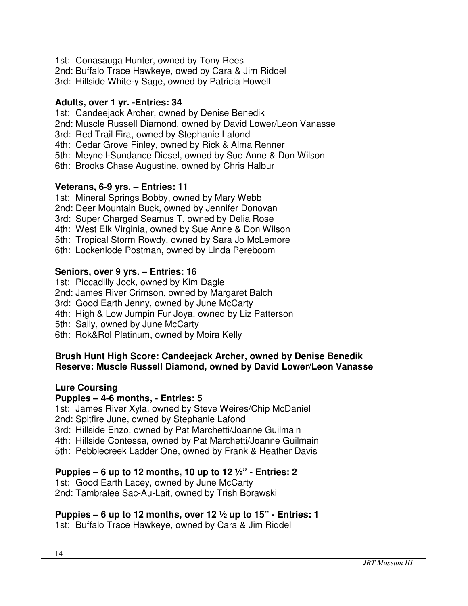- 1st: Conasauga Hunter, owned by Tony Rees
- 2nd: Buffalo Trace Hawkeye, owed by Cara & Jim Riddel
- 3rd: Hillside White-y Sage, owned by Patricia Howell

### **Adults, over 1 yr. -Entries: 34**

- 1st: Candeejack Archer, owned by Denise Benedik
- 2nd: Muscle Russell Diamond, owned by David Lower/Leon Vanasse
- 3rd: Red Trail Fira, owned by Stephanie Lafond
- 4th: Cedar Grove Finley, owned by Rick & Alma Renner
- 5th: Meynell-Sundance Diesel, owned by Sue Anne & Don Wilson
- 6th: Brooks Chase Augustine, owned by Chris Halbur

### **Veterans, 6-9 yrs. – Entries: 11**

- 1st: Mineral Springs Bobby, owned by Mary Webb
- 2nd: Deer Mountain Buck, owned by Jennifer Donovan
- 3rd: Super Charged Seamus T, owned by Delia Rose
- 4th: West Elk Virginia, owned by Sue Anne & Don Wilson
- 5th: Tropical Storm Rowdy, owned by Sara Jo McLemore
- 6th: Lockenlode Postman, owned by Linda Pereboom

### **Seniors, over 9 yrs. – Entries: 16**

- 1st: Piccadilly Jock, owned by Kim Dagle
- 2nd: James River Crimson, owned by Margaret Balch
- 3rd: Good Earth Jenny, owned by June McCarty
- 4th: High & Low Jumpin Fur Joya, owned by Liz Patterson
- 5th: Sally, owned by June McCarty
- 6th: Rok&Rol Platinum, owned by Moira Kelly

### **Brush Hunt High Score: Candeejack Archer, owned by Denise Benedik Reserve: Muscle Russell Diamond, owned by David Lower/Leon Vanasse**

### **Lure Coursing**

### **Puppies – 4-6 months, - Entries: 5**

1st: James River Xyla, owned by Steve Weires/Chip McDaniel

- 2nd: Spitfire June, owned by Stephanie Lafond
- 3rd: Hillside Enzo, owned by Pat Marchetti/Joanne Guilmain
- 4th: Hillside Contessa, owned by Pat Marchetti/Joanne Guilmain
- 5th: Pebblecreek Ladder One, owned by Frank & Heather Davis

# **Puppies – 6 up to 12 months, 10 up to 12 ½" - Entries: 2**

1st: Good Earth Lacey, owned by June McCarty 2nd: Tambralee Sac-Au-Lait, owned by Trish Borawski

# **Puppies – 6 up to 12 months, over 12 ½ up to 15" - Entries: 1**

1st: Buffalo Trace Hawkeye, owned by Cara & Jim Riddel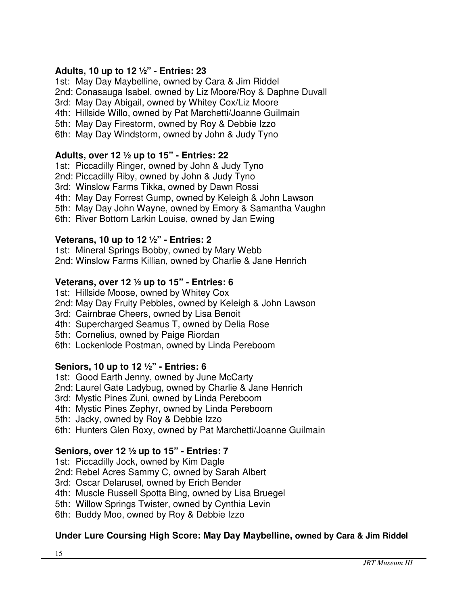# **Adults, 10 up to 12 ½" - Entries: 23**

1st: May Day Maybelline, owned by Cara & Jim Riddel

2nd: Conasauga Isabel, owned by Liz Moore/Roy & Daphne Duvall

3rd: May Day Abigail, owned by Whitey Cox/Liz Moore

4th: Hillside Willo, owned by Pat Marchetti/Joanne Guilmain

5th: May Day Firestorm, owned by Roy & Debbie Izzo

6th: May Day Windstorm, owned by John & Judy Tyno

### **Adults, over 12 ½ up to 15" - Entries: 22**

1st: Piccadilly Ringer, owned by John & Judy Tyno

2nd: Piccadilly Riby, owned by John & Judy Tyno

3rd: Winslow Farms Tikka, owned by Dawn Rossi

4th: May Day Forrest Gump, owned by Keleigh & John Lawson

5th: May Day John Wayne, owned by Emory & Samantha Vaughn

6th: River Bottom Larkin Louise, owned by Jan Ewing

### **Veterans, 10 up to 12 ½" - Entries: 2**

1st: Mineral Springs Bobby, owned by Mary Webb

2nd: Winslow Farms Killian, owned by Charlie & Jane Henrich

### **Veterans, over 12 ½ up to 15" - Entries: 6**

1st: Hillside Moose, owned by Whitey Cox

2nd: May Day Fruity Pebbles, owned by Keleigh & John Lawson

3rd: Cairnbrae Cheers, owned by Lisa Benoit

- 4th: Supercharged Seamus T, owned by Delia Rose
- 5th: Cornelius, owned by Paige Riordan
- 6th: Lockenlode Postman, owned by Linda Pereboom

# **Seniors, 10 up to 12 ½" - Entries: 6**

1st: Good Earth Jenny, owned by June McCarty

2nd: Laurel Gate Ladybug, owned by Charlie & Jane Henrich

3rd: Mystic Pines Zuni, owned by Linda Pereboom

4th: Mystic Pines Zephyr, owned by Linda Pereboom

5th: Jacky, owned by Roy & Debbie Izzo

6th: Hunters Glen Roxy, owned by Pat Marchetti/Joanne Guilmain

# **Seniors, over 12 ½ up to 15" - Entries: 7**

1st: Piccadilly Jock, owned by Kim Dagle

2nd: Rebel Acres Sammy C, owned by Sarah Albert

3rd: Oscar Delarusel, owned by Erich Bender

4th: Muscle Russell Spotta Bing, owned by Lisa Bruegel

5th: Willow Springs Twister, owned by Cynthia Levin

6th: Buddy Moo, owned by Roy & Debbie Izzo

# **Under Lure Coursing High Score: May Day Maybelline, owned by Cara & Jim Riddel**